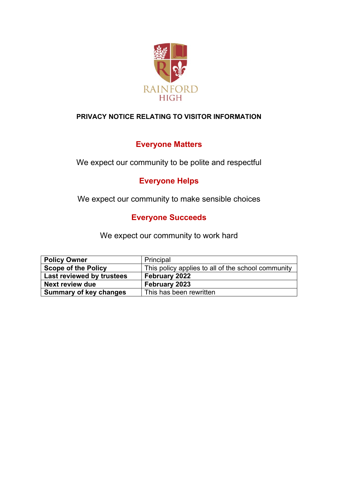

## **PRIVACY NOTICE RELATING TO VISITOR INFORMATION**

# **Everyone Matters**

We expect our community to be polite and respectful

# **Everyone Helps**

We expect our community to make sensible choices

# **Everyone Succeeds**

We expect our community to work hard

| <b>Policy Owner</b>           | Principal                                          |
|-------------------------------|----------------------------------------------------|
| <b>Scope of the Policy</b>    | This policy applies to all of the school community |
| Last reviewed by trustees     | February 2022                                      |
| Next review due               | February 2023                                      |
| <b>Summary of key changes</b> | This has been rewritten                            |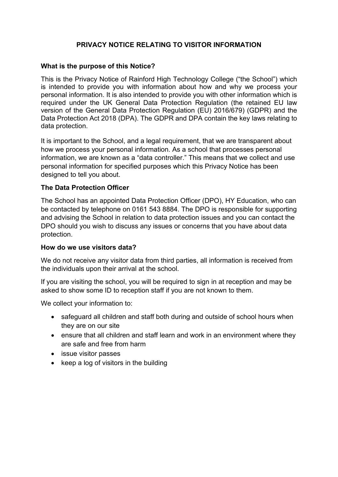## **PRIVACY NOTICE RELATING TO VISITOR INFORMATION**

#### **What is the purpose of this Notice?**

This is the Privacy Notice of Rainford High Technology College ("the School") which is intended to provide you with information about how and why we process your personal information. It is also intended to provide you with other information which is required under the UK General Data Protection Regulation (the retained EU law version of the General Data Protection Regulation (EU) 2016/679) (GDPR) and the Data Protection Act 2018 (DPA). The GDPR and DPA contain the key laws relating to data protection.

It is important to the School, and a legal requirement, that we are transparent about how we process your personal information. As a school that processes personal information, we are known as a "data controller." This means that we collect and use personal information for specified purposes which this Privacy Notice has been designed to tell you about.

#### **The Data Protection Officer**

The School has an appointed Data Protection Officer (DPO), HY Education, who can be contacted by telephone on 0161 543 8884. The DPO is responsible for supporting and advising the School in relation to data protection issues and you can contact the DPO should you wish to discuss any issues or concerns that you have about data protection.

#### **How do we use visitors data?**

We do not receive any visitor data from third parties, all information is received from the individuals upon their arrival at the school.

If you are visiting the school, you will be required to sign in at reception and may be asked to show some ID to reception staff if you are not known to them.

We collect your information to:

- safeguard all children and staff both during and outside of school hours when they are on our site
- ensure that all children and staff learn and work in an environment where they are safe and free from harm
- issue visitor passes
- keep a log of visitors in the building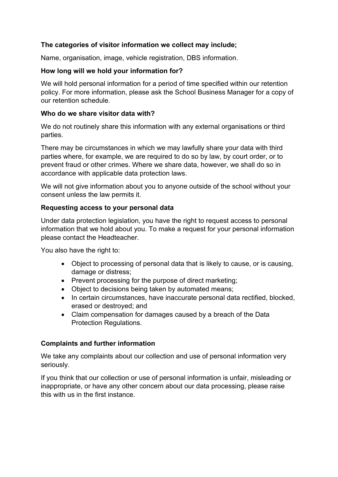### **The categories of visitor information we collect may include;**

Name, organisation, image, vehicle registration, DBS information.

#### **How long will we hold your information for?**

We will hold personal information for a period of time specified within our retention policy. For more information, please ask the School Business Manager for a copy of our retention schedule.

#### **Who do we share visitor data with?**

We do not routinely share this information with any external organisations or third parties.

There may be circumstances in which we may lawfully share your data with third parties where, for example, we are required to do so by law, by court order, or to prevent fraud or other crimes. Where we share data, however, we shall do so in accordance with applicable data protection laws.

We will not give information about you to anyone outside of the school without your consent unless the law permits it.

#### **Requesting access to your personal data**

Under data protection legislation, you have the right to request access to personal information that we hold about you. To make a request for your personal information please contact the Headteacher.

You also have the right to:

- Object to processing of personal data that is likely to cause, or is causing, damage or distress;
- Prevent processing for the purpose of direct marketing;
- Object to decisions being taken by automated means;
- In certain circumstances, have inaccurate personal data rectified, blocked, erased or destroyed; and
- Claim compensation for damages caused by a breach of the Data Protection Regulations.

### **Complaints and further information**

We take any complaints about our collection and use of personal information very seriously.

If you think that our collection or use of personal information is unfair, misleading or inappropriate, or have any other concern about our data processing, please raise this with us in the first instance.